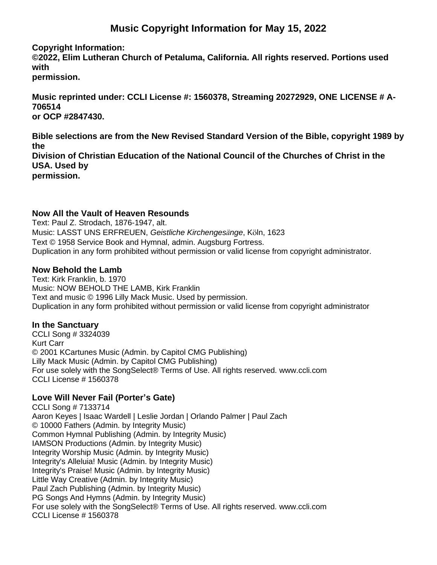# **Music Copyright Information for May 15, 2022**

**Copyright Information:**

**©2022, Elim Lutheran Church of Petaluma, California. All rights reserved. Portions used with**

**permission.**

**Music reprinted under: CCLI License #: 1560378, Streaming 20272929, ONE LICENSE # A-706514 or OCP #2847430.**

**Bible selections are from the New Revised Standard Version of the Bible, copyright 1989 by the Division of Christian Education of the National Council of the Churches of Christ in the USA. Used by permission.**

### **Now All the Vault of Heaven Resounds**

Text: Paul Z. Strodach, 1876-1947, alt. Music: LASST UNS ERFREUEN, *Geistliche Kirchengesänge*, Köln, 1623 Text © 1958 Service Book and Hymnal, admin. Augsburg Fortress. Duplication in any form prohibited without permission or valid license from copyright administrator.

### **Now Behold the Lamb**

Text: Kirk Franklin, b. 1970 Music: NOW BEHOLD THE LAMB, Kirk Franklin Text and music © 1996 Lilly Mack Music. Used by permission. Duplication in any form prohibited without permission or valid license from copyright administrator

## **In the Sanctuary**

CCLI Song # 3324039 Kurt Carr © 2001 KCartunes Music (Admin. by Capitol CMG Publishing) Lilly Mack Music (Admin. by Capitol CMG Publishing) For use solely with the SongSelect® Terms of Use. All rights reserved. www.ccli.com CCLI License # 1560378

## **Love Will Never Fail (Porter's Gate)**

CCLI Song # 7133714 Aaron Keyes | Isaac Wardell | Leslie Jordan | Orlando Palmer | Paul Zach © 10000 Fathers (Admin. by Integrity Music) Common Hymnal Publishing (Admin. by Integrity Music) IAMSON Productions (Admin. by Integrity Music) Integrity Worship Music (Admin. by Integrity Music) Integrity's Alleluia! Music (Admin. by Integrity Music) Integrity's Praise! Music (Admin. by Integrity Music) Little Way Creative (Admin. by Integrity Music) Paul Zach Publishing (Admin. by Integrity Music) PG Songs And Hymns (Admin. by Integrity Music) For use solely with the SongSelect® Terms of Use. All rights reserved. www.ccli.com CCLI License # 1560378